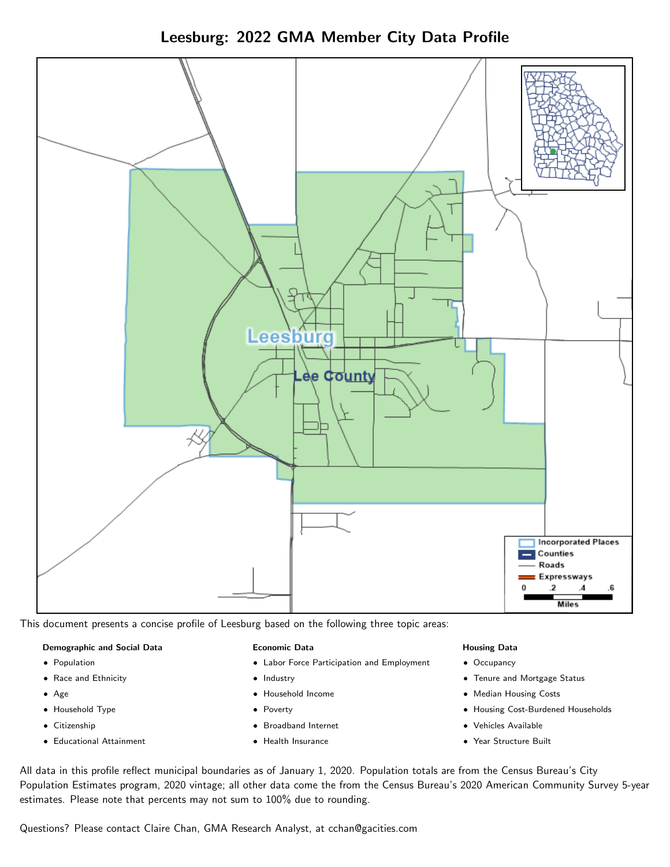



This document presents a concise profile of Leesburg based on the following three topic areas:

#### Demographic and Social Data

- **•** Population
- Race and Ethnicity
- Age
- Household Type
- **Citizenship**
- Educational Attainment

#### Economic Data

- Labor Force Participation and Employment
- Industry
- Household Income
- Poverty
- Broadband Internet
- Health Insurance

#### Housing Data

- Occupancy
- Tenure and Mortgage Status
- Median Housing Costs
- Housing Cost-Burdened Households
- Vehicles Available
- Year Structure Built

All data in this profile reflect municipal boundaries as of January 1, 2020. Population totals are from the Census Bureau's City Population Estimates program, 2020 vintage; all other data come the from the Census Bureau's 2020 American Community Survey 5-year estimates. Please note that percents may not sum to 100% due to rounding.

Questions? Please contact Claire Chan, GMA Research Analyst, at [cchan@gacities.com.](mailto:cchan@gacities.com)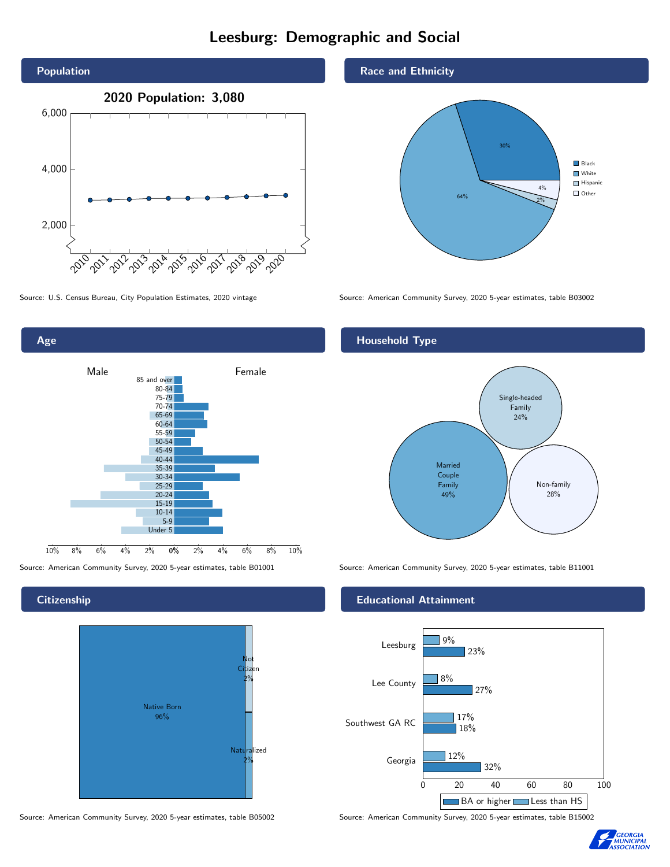# Leesburg: Demographic and Social



Age 0% 2% 4% 6% 8% 10% Male **Female** 10% 8% 6% 4% 2% 85 and over 80-84 75-79 70-74 65-69 60-64 55-59 50-54 45-49 40-44 35-39 30-34 25-29 20-24 15-19  $10-14$ 5-9 Under 5

### **Citizenship**



Source: American Community Survey, 2020 5-year estimates, table B05002 Source: American Community Survey, 2020 5-year estimates, table B15002

### Race and Ethnicity



Source: U.S. Census Bureau, City Population Estimates, 2020 vintage Source: American Community Survey, 2020 5-year estimates, table B03002

## Household Type



Source: American Community Survey, 2020 5-year estimates, table B01001 Source: American Community Survey, 2020 5-year estimates, table B11001

### Educational Attainment



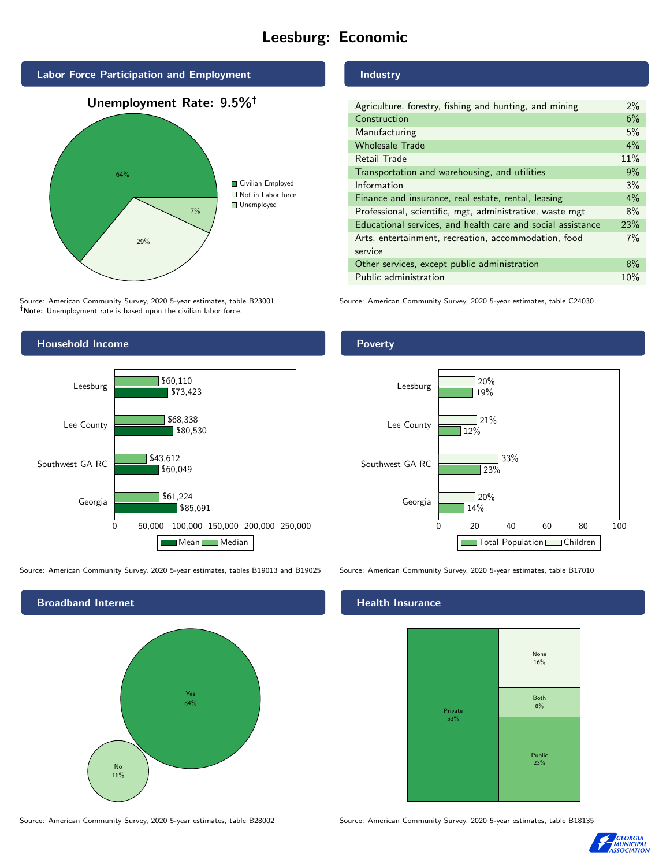# Leesburg: Economic



Source: American Community Survey, 2020 5-year estimates, table B23001 Note: Unemployment rate is based upon the civilian labor force.

### **Industry**

| $2\%$ |
|-------|
| 6%    |
| 5%    |
| 4%    |
| 11%   |
| 9%    |
| 3%    |
| $4\%$ |
| 8%    |
| 23%   |
| 7%    |
|       |
| 8%    |
| 10%   |
|       |

Source: American Community Survey, 2020 5-year estimates, table C24030



Source: American Community Survey, 2020 5-year estimates, tables B19013 and B19025 Source: American Community Survey, 2020 5-year estimates, table B17010

Broadband Internet No 16% Yes 84%

### Health Insurance



Source: American Community Survey, 2020 5-year estimates, table B28002 Source: American Community Survey, 2020 5-year estimates, table B18135